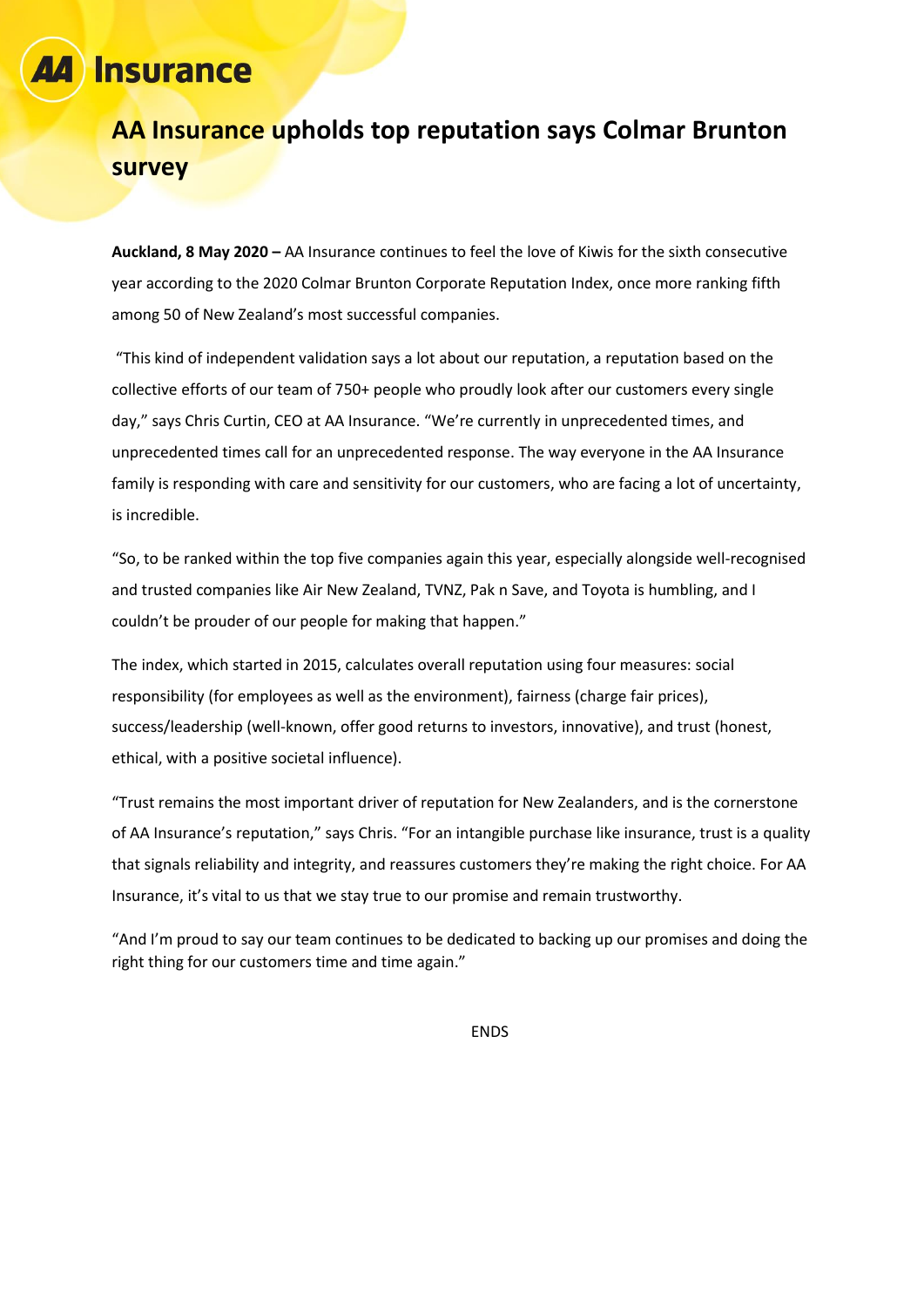# **Insurance**

## **AA Insurance upholds top reputation says Colmar Brunton survey**

**Auckland, 8 May 2020 –** AA Insurance continues to feel the love of Kiwis for the sixth consecutive year according to the 2020 Colmar Brunton Corporate Reputation Index, once more ranking fifth among 50 of New Zealand's most successful companies.

"This kind of independent validation says a lot about our reputation, a reputation based on the collective efforts of our team of 750+ people who proudly look after our customers every single day," says Chris Curtin, CEO at AA Insurance. "We're currently in unprecedented times, and unprecedented times call for an unprecedented response. The way everyone in the AA Insurance family is responding with care and sensitivity for our customers, who are facing a lot of uncertainty, is incredible.

"So, to be ranked within the top five companies again this year, especially alongside well-recognised and trusted companies like Air New Zealand, TVNZ, Pak n Save, and Toyota is humbling, and I couldn't be prouder of our people for making that happen."

The index, which started in 2015, calculates overall reputation using four measures: social responsibility (for employees as well as the environment), fairness (charge fair prices), success/leadership (well-known, offer good returns to investors, innovative), and trust (honest, ethical, with a positive societal influence).

"Trust remains the most important driver of reputation for New Zealanders, and is the cornerstone of AA Insurance's reputation," says Chris. "For an intangible purchase like insurance, trust is a quality that signals reliability and integrity, and reassures customers they're making the right choice. For AA Insurance, it's vital to us that we stay true to our promise and remain trustworthy.

"And I'm proud to say our team continues to be dedicated to backing up our promises and doing the right thing for our customers time and time again."

ENDS